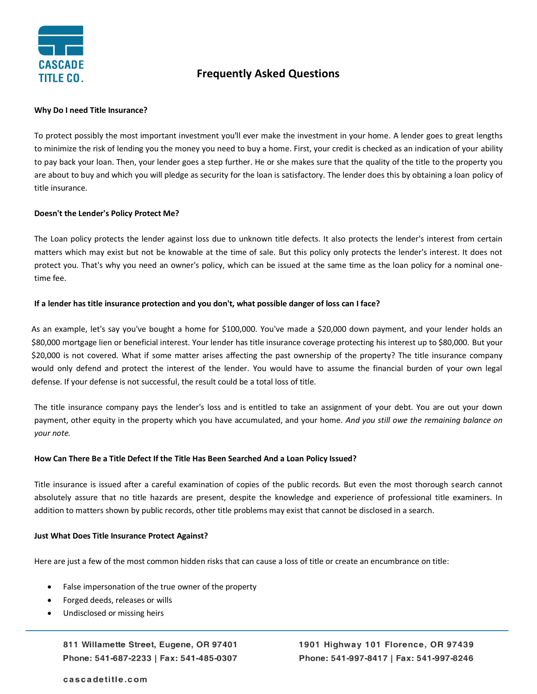

# **Frequently Asked Questions**

#### **Why Do I need Title Insurance?**

To protect possibly the most important investment you'll ever make the investment in your home. A lender goes to great lengths to minimize the risk of lending you the money you need to buy a home. First, your credit is checked as an indication of your ability to pay back your loan. Then, your lender goes a step further. He or she makes sure that the quality of the title to the property you are about to buy and which you will pledge as security for the loan is satisfactory. The lender does this by obtaining a loan policy of title insurance.

## **Doesn't the Lender's Policy Protect Me?**

The Loan policy protects the lender against loss due to unknown title defects. It also protects the lender's interest from certain matters which may exist but not be knowable at the time of sale. But this policy only protects the lender's interest. It does not protect you. That's why you need an owner's policy, which can be issued at the same time as the loan policy for a nominal onetime fee.

# **If a lender has title insurance protection and you don't, what possible danger of loss can I face?**

As an example, let's say you've bought a home for \$100,000. You've made a \$20,000 down payment, and your lender holds an \$80,000 mortgage lien or beneficial interest. Your lender has title insurance coverage protecting his interest up to \$80,000. But your \$20,000 is not covered. What if some matter arises affecting the past ownership of the property? The title insurance company would only defend and protect the interest of the lender. You would have to assume the financial burden of your own legal defense. If your defense is not successful, the result could be a total loss of title.

The title insurance company pays the lender's loss and is entitled to take an assignment of your debt. You are out your down payment, other equity in the property which you have accumulated, and your home. *And you still owe the remaining balance on your note.* 

#### **How Can There Be a Title Defect If the Title Has Been Searched And a Loan Policy Issued?**

Title insurance is issued after a careful examination of copies of the public records. But even the most thorough search cannot absolutely assure that no title hazards are present, despite the knowledge and experience of professional title examiners. In addition to matters shown by public records, other title problems may exist that cannot be disclosed in a search.

#### **Just What Does Title Insurance Protect Against?**

Here are just a few of the most common hidden risks that can cause a loss of title or create an encumbrance on title:

- False impersonation of the true owner of the property
- Forged deeds, releases or wills
- Undisclosed or missing heirs

811 Willamette Street, Eugene, OR 97401 Phone: 541-687-2233 | Fax: 541-485-0307 1901 Highway 101 Florence, OR 97439 Phone: 541-997-8417 | Fax: 541-997-8246

## cascadetitle.com